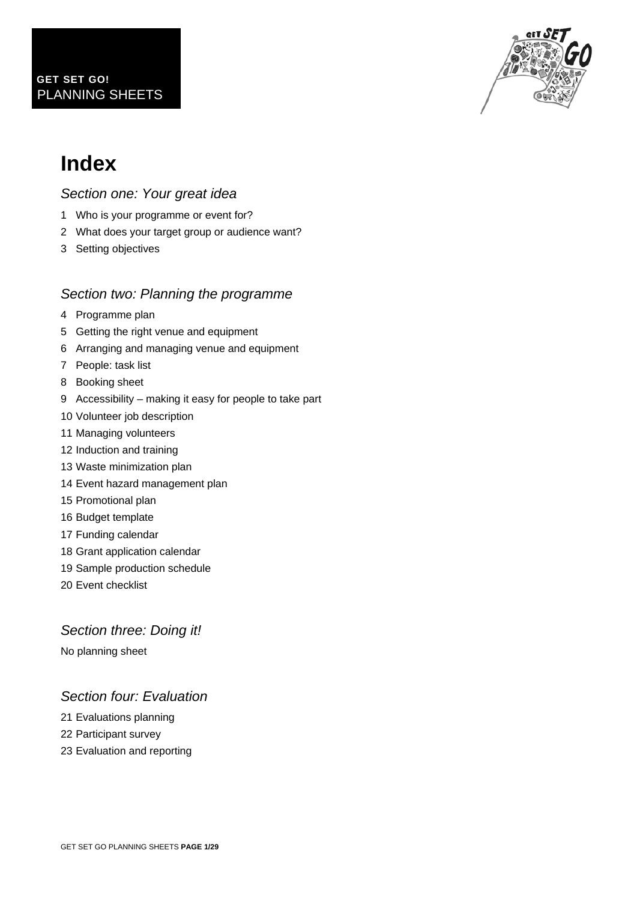

## **Index**

### *Section one: Your great idea*

- 1 Who is your programme or event for?
- 2 What does your target group or audience want?
- 3 Setting objectives

### *Section two: Planning the programme*

- 4 Programme plan
- 5 Getting the right venue and equipment
- 6 Arranging and managing venue and equipment
- 7 People: task list
- 8 Booking sheet
- 9 Accessibility making it easy for people to take part
- 10 Volunteer job description
- 11 Managing volunteers
- 12 Induction and training
- 13 Waste minimization plan
- 14 Event hazard management plan
- 15 Promotional plan
- 16 Budget template
- 17 Funding calendar
- 18 Grant application calendar
- 19 Sample production schedule
- 20 Event checklist

### *Section three: Doing it!*

No planning sheet

### *Section four: Evaluation*

- 21 Evaluations planning
- 22 Participant survey
- 23 Evaluation and reporting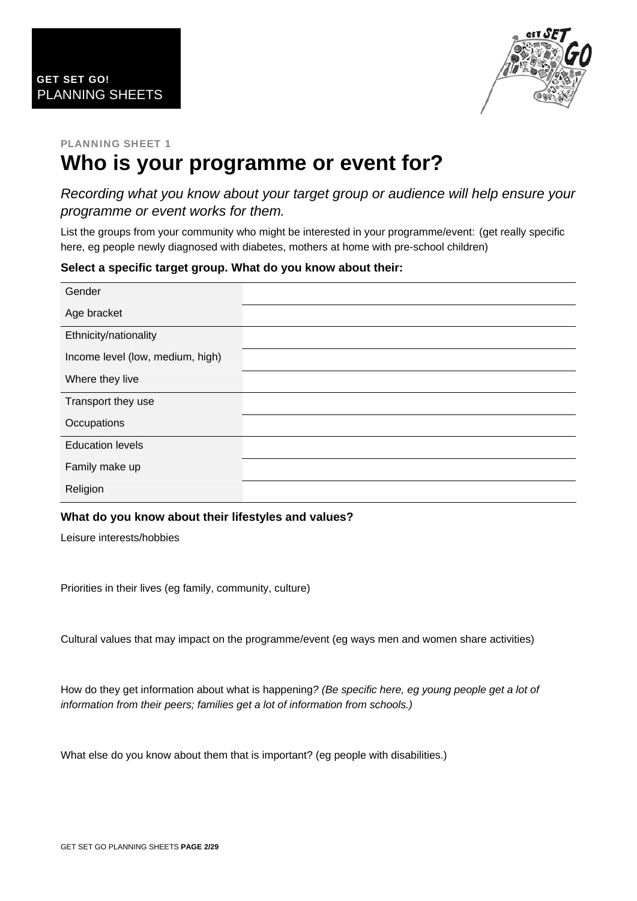

### PLANNING SHEET 1 **Who is your programme or event for?**

*Recording what you know about your target group or audience will help ensure your programme or event works for them.* 

List the groups from your community who might be interested in your programme/event: (get really specific here, eg people newly diagnosed with diabetes, mothers at home with pre-school children)

### **Select a specific target group. What do you know about their:**

| Gender                           |  |
|----------------------------------|--|
| Age bracket                      |  |
| Ethnicity/nationality            |  |
| Income level (low, medium, high) |  |
| Where they live                  |  |
| Transport they use               |  |
| Occupations                      |  |
| <b>Education levels</b>          |  |
| Family make up                   |  |
| Religion                         |  |

### **What do you know about their lifestyles and values?**

Leisure interests/hobbies

Priorities in their lives (eg family, community, culture)

Cultural values that may impact on the programme/event (eg ways men and women share activities)

How do they get information about what is happening*? (Be specific here, eg young people get a lot of information from their peers; families get a lot of information from schools.)* 

What else do you know about them that is important? (eg people with disabilities.)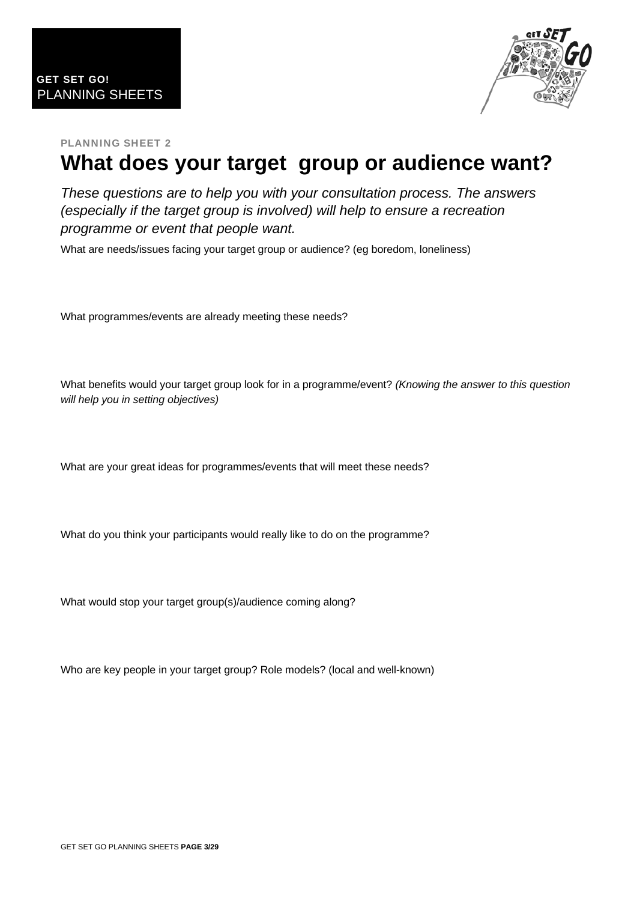

## **What does your target group or audience want?**

*These questions are to help you with your consultation process. The answers (especially if the target group is involved) will help to ensure a recreation programme or event that people want.* 

What are needs/issues facing your target group or audience? (eg boredom, loneliness)

What programmes/events are already meeting these needs?

What benefits would your target group look for in a programme/event? *(Knowing the answer to this question will help you in setting objectives)*

What are your great ideas for programmes/events that will meet these needs?

What do you think your participants would really like to do on the programme?

What would stop your target group(s)/audience coming along?

Who are key people in your target group? Role models? (local and well-known)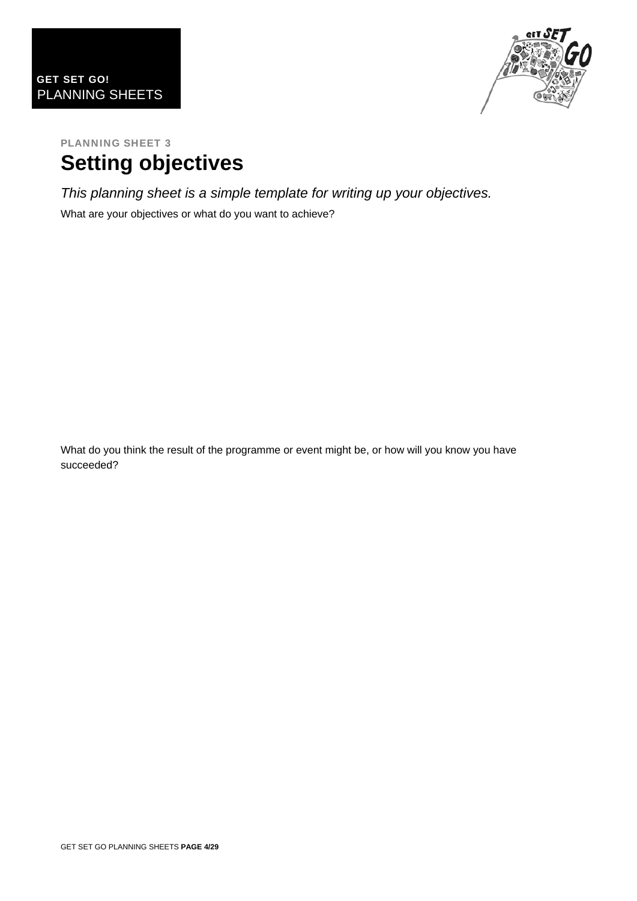

### PLANNING SHEET 3 **Setting objectives**

*This planning sheet is a simple template for writing up your objectives.* 

What are your objectives or what do you want to achieve?

What do you think the result of the programme or event might be, or how will you know you have succeeded?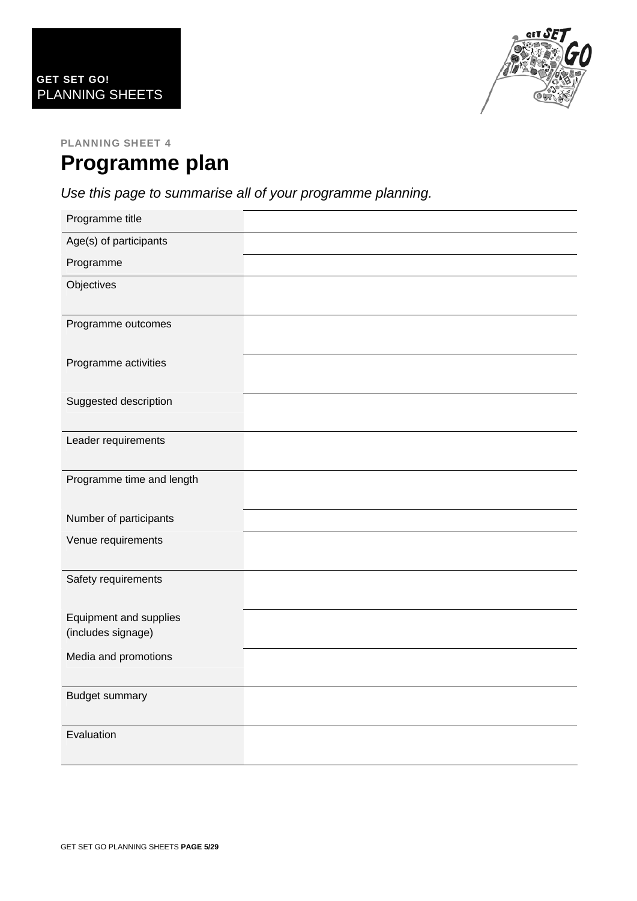

### PLANNING SHEET 4 **Programme plan**

*Use this page to summarise all of your programme planning.* 

| Programme title                              |  |
|----------------------------------------------|--|
| Age(s) of participants                       |  |
| Programme                                    |  |
| Objectives                                   |  |
| Programme outcomes                           |  |
| Programme activities                         |  |
| Suggested description                        |  |
| Leader requirements                          |  |
| Programme time and length                    |  |
| Number of participants                       |  |
| Venue requirements                           |  |
| Safety requirements                          |  |
| Equipment and supplies<br>(includes signage) |  |
| Media and promotions                         |  |
| <b>Budget summary</b>                        |  |
| Evaluation                                   |  |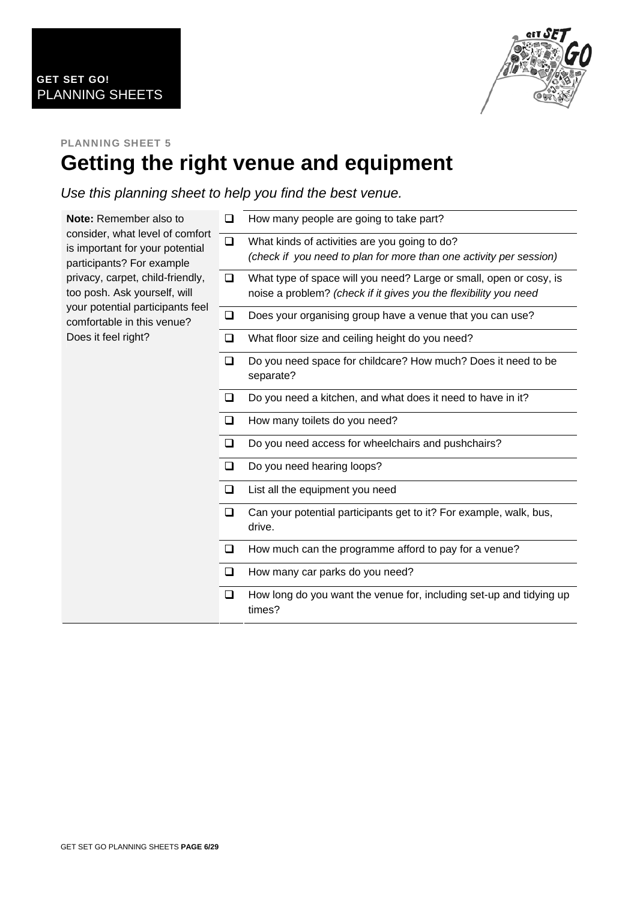

### PLANNING SHEET 5 **Getting the right venue and equipment**

*Use this planning sheet to help you find the best venue.* 

| <b>Note:</b> Remember also to                                                                   | ❏      | How many people are going to take part?                                                                                                |
|-------------------------------------------------------------------------------------------------|--------|----------------------------------------------------------------------------------------------------------------------------------------|
| consider, what level of comfort<br>is important for your potential<br>participants? For example |        | What kinds of activities are you going to do?<br>(check if you need to plan for more than one activity per session)                    |
| privacy, carpet, child-friendly,<br>too posh. Ask yourself, will                                | ❏      | What type of space will you need? Large or small, open or cosy, is<br>noise a problem? (check if it gives you the flexibility you need |
| your potential participants feel<br>comfortable in this venue?                                  | ❏      | Does your organising group have a venue that you can use?                                                                              |
| Does it feel right?                                                                             | ❏      | What floor size and ceiling height do you need?                                                                                        |
|                                                                                                 | ❏      | Do you need space for childcare? How much? Does it need to be<br>separate?                                                             |
|                                                                                                 | ❏      | Do you need a kitchen, and what does it need to have in it?                                                                            |
|                                                                                                 | $\Box$ | How many toilets do you need?                                                                                                          |
|                                                                                                 | $\Box$ | Do you need access for wheelchairs and pushchairs?                                                                                     |
|                                                                                                 | ❏      | Do you need hearing loops?                                                                                                             |
|                                                                                                 | $\Box$ | List all the equipment you need                                                                                                        |
|                                                                                                 | $\Box$ | Can your potential participants get to it? For example, walk, bus,<br>drive.                                                           |
|                                                                                                 | ❏      | How much can the programme afford to pay for a venue?                                                                                  |
|                                                                                                 | $\Box$ | How many car parks do you need?                                                                                                        |
|                                                                                                 | ❏      | How long do you want the venue for, including set-up and tidying up<br>times?                                                          |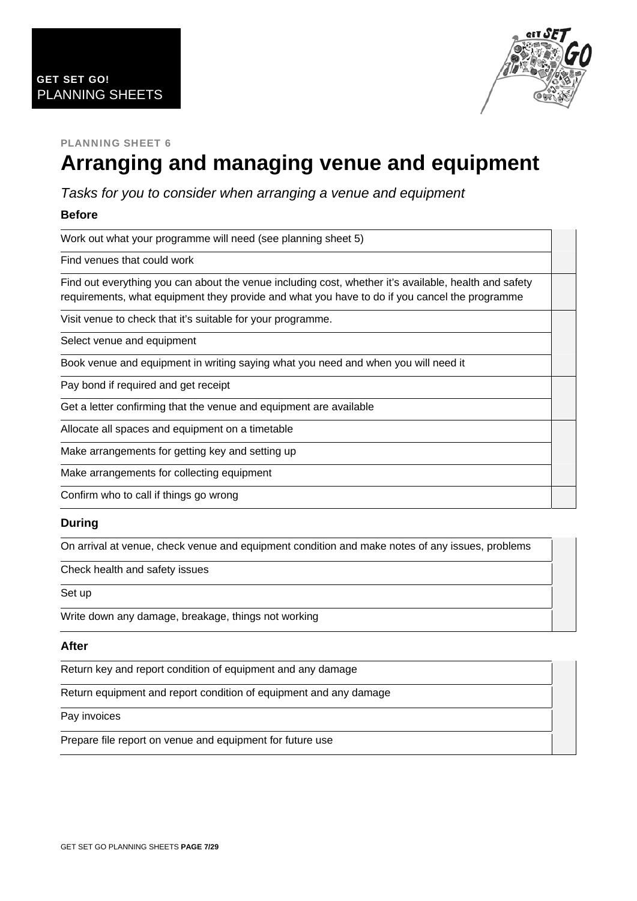

# **Arranging and managing venue and equipment**

*Tasks for you to consider when arranging a venue and equipment* 

### **Before**

Work out what your programme will need (see planning sheet 5)

Find venues that could work

Find out everything you can about the venue including cost, whether it's available, health and safety requirements, what equipment they provide and what you have to do if you cancel the programme

Visit venue to check that it's suitable for your programme.

Select venue and equipment

Book venue and equipment in writing saying what you need and when you will need it

Pay bond if required and get receipt

Get a letter confirming that the venue and equipment are available

Allocate all spaces and equipment on a timetable

Make arrangements for getting key and setting up

Make arrangements for collecting equipment

Confirm who to call if things go wrong

#### **During**

On arrival at venue, check venue and equipment condition and make notes of any issues, problems

Check health and safety issues

Set up

Write down any damage, breakage, things not working

#### **After**

Return key and report condition of equipment and any damage

Return equipment and report condition of equipment and any damage

Pay invoices

Prepare file report on venue and equipment for future use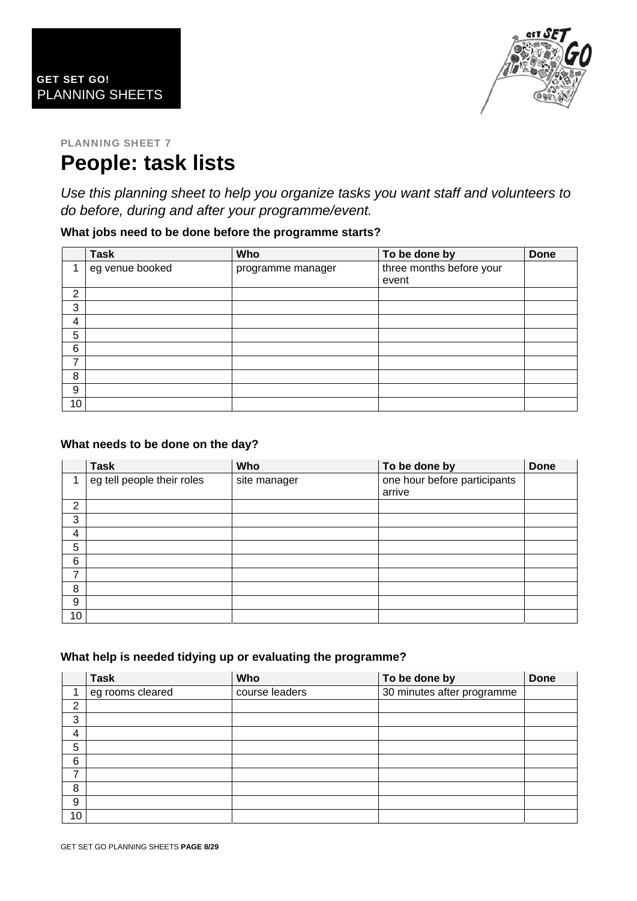

### PLANNING SHEET 7 **People: task lists**

*Use this planning sheet to help you organize tasks you want staff and volunteers to do before, during and after your programme/event.* 

### **What jobs need to be done before the programme starts?**

|    | <b>Task</b>     | Who               | To be done by                     | <b>Done</b> |
|----|-----------------|-------------------|-----------------------------------|-------------|
| 1  | eg venue booked | programme manager | three months before your<br>event |             |
| 2  |                 |                   |                                   |             |
| 3  |                 |                   |                                   |             |
| 4  |                 |                   |                                   |             |
| 5  |                 |                   |                                   |             |
| 6  |                 |                   |                                   |             |
| 7  |                 |                   |                                   |             |
| 8  |                 |                   |                                   |             |
| 9  |                 |                   |                                   |             |
| 10 |                 |                   |                                   |             |

### **What needs to be done on the day?**

|                | <b>Task</b>                | Who          | To be done by                          | <b>Done</b> |
|----------------|----------------------------|--------------|----------------------------------------|-------------|
| 4              | eg tell people their roles | site manager | one hour before participants<br>arrive |             |
| 2              |                            |              |                                        |             |
| 3              |                            |              |                                        |             |
| 4              |                            |              |                                        |             |
| 5              |                            |              |                                        |             |
| 6              |                            |              |                                        |             |
| $\overline{ }$ |                            |              |                                        |             |
| 8              |                            |              |                                        |             |
| 9              |                            |              |                                        |             |
| 10             |                            |              |                                        |             |

### **What help is needed tidying up or evaluating the programme?**

|    | <b>Task</b>      | Who            | To be done by              | <b>Done</b> |
|----|------------------|----------------|----------------------------|-------------|
| 4  | eg rooms cleared | course leaders | 30 minutes after programme |             |
| 2  |                  |                |                            |             |
| 3  |                  |                |                            |             |
| 4  |                  |                |                            |             |
| 5  |                  |                |                            |             |
| 6  |                  |                |                            |             |
| ⇁  |                  |                |                            |             |
| 8  |                  |                |                            |             |
| 9  |                  |                |                            |             |
| 10 |                  |                |                            |             |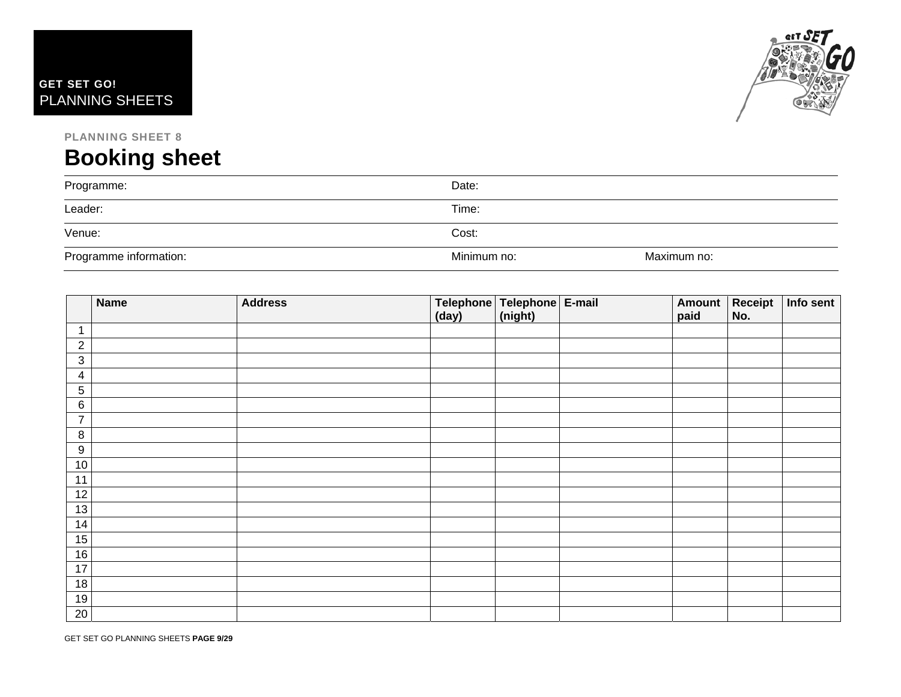



# **Booking sheet**

| Programme:             | Date:       |             |
|------------------------|-------------|-------------|
| Leader:                | Time:       |             |
| Venue:                 | Cost:       |             |
| Programme information: | Minimum no: | Maximum no: |

|                 | <b>Name</b> | <b>Address</b> | Telephone Telephone E-mail<br>(day) | (night) | Amount<br>paid | Receipt<br>No. | Info sent |
|-----------------|-------------|----------------|-------------------------------------|---------|----------------|----------------|-----------|
| $\mathbf 1$     |             |                |                                     |         |                |                |           |
| $\overline{2}$  |             |                |                                     |         |                |                |           |
| $\mathfrak{B}$  |             |                |                                     |         |                |                |           |
| $\overline{4}$  |             |                |                                     |         |                |                |           |
| $\sqrt{5}$      |             |                |                                     |         |                |                |           |
| $6\phantom{1}6$ |             |                |                                     |         |                |                |           |
| $\overline{7}$  |             |                |                                     |         |                |                |           |
| 8               |             |                |                                     |         |                |                |           |
| 9               |             |                |                                     |         |                |                |           |
| $10$            |             |                |                                     |         |                |                |           |
| 11              |             |                |                                     |         |                |                |           |
| 12              |             |                |                                     |         |                |                |           |
| 13              |             |                |                                     |         |                |                |           |
| 14              |             |                |                                     |         |                |                |           |
| 15              |             |                |                                     |         |                |                |           |
| 16              |             |                |                                     |         |                |                |           |
| 17              |             |                |                                     |         |                |                |           |
| 18              |             |                |                                     |         |                |                |           |
| 19              |             |                |                                     |         |                |                |           |
| $20\,$          |             |                |                                     |         |                |                |           |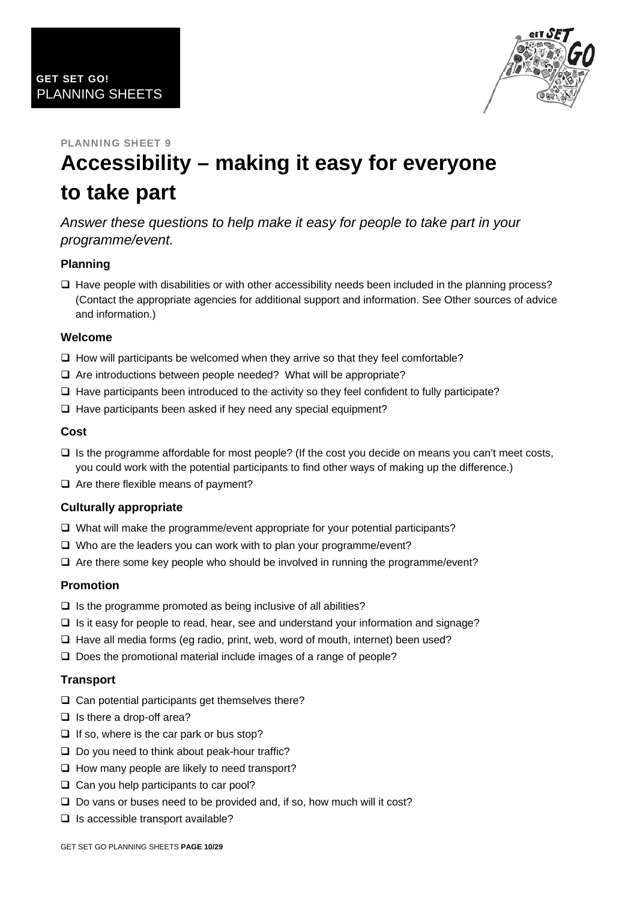

# **Accessibility – making it easy for everyone to take part**

*Answer these questions to help make it easy for people to take part in your programme/event.* 

### **Planning**

 $\Box$  Have people with disabilities or with other accessibility needs been included in the planning process? (Contact the appropriate agencies for additional support and information. See Other sources of advice and information.)

#### **Welcome**

- $\Box$  How will participants be welcomed when they arrive so that they feel comfortable?
- Are introductions between people needed? What will be appropriate?
- $\Box$  Have participants been introduced to the activity so they feel confident to fully participate?
- $\Box$  Have participants been asked if hey need any special equipment?

#### **Cost**

- $\Box$  Is the programme affordable for most people? (If the cost you decide on means you can't meet costs, you could work with the potential participants to find other ways of making up the difference.)
- $\Box$  Are there flexible means of payment?

#### **Culturally appropriate**

- $\Box$  What will make the programme/event appropriate for your potential participants?
- $\Box$  Who are the leaders you can work with to plan your programme/event?
- $\Box$  Are there some key people who should be involved in running the programme/event?

### **Promotion**

- $\Box$  Is the programme promoted as being inclusive of all abilities?
- $\Box$  Is it easy for people to read, hear, see and understand your information and signage?
- $\Box$  Have all media forms (eq radio, print, web, word of mouth, internet) been used?
- $\Box$  Does the promotional material include images of a range of people?

#### **Transport**

- $\square$  Can potential participants get themselves there?
- $\Box$  Is there a drop-off area?
- $\Box$  If so, where is the car park or bus stop?
- $\square$  Do you need to think about peak-hour traffic?
- $\Box$  How many people are likely to need transport?
- $\Box$  Can you help participants to car pool?
- $\square$  Do vans or buses need to be provided and, if so, how much will it cost?
- $\Box$  Is accessible transport available?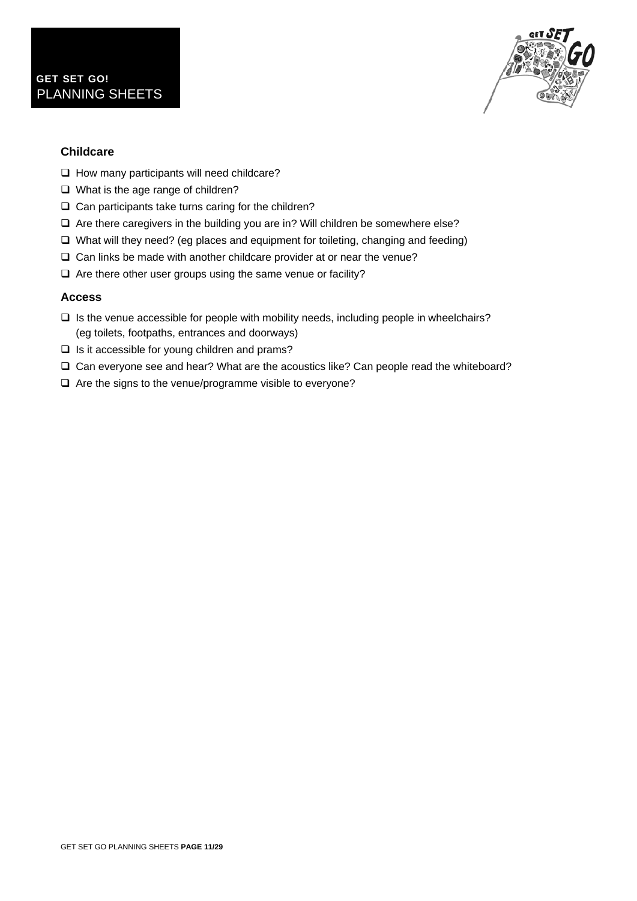

### **Childcare**

- $\Box$  How many participants will need childcare?
- □ What is the age range of children?
- $\Box$  Can participants take turns caring for the children?
- $\Box$  Are there caregivers in the building you are in? Will children be somewhere else?
- $\Box$  What will they need? (eg places and equipment for toileting, changing and feeding)
- $\Box$  Can links be made with another childcare provider at or near the venue?
- $\Box$  Are there other user groups using the same venue or facility?

#### **Access**

- $\Box$  Is the venue accessible for people with mobility needs, including people in wheelchairs? (eg toilets, footpaths, entrances and doorways)
- $\Box$  Is it accessible for young children and prams?
- Can everyone see and hear? What are the acoustics like? Can people read the whiteboard?
- $\Box$  Are the signs to the venue/programme visible to everyone?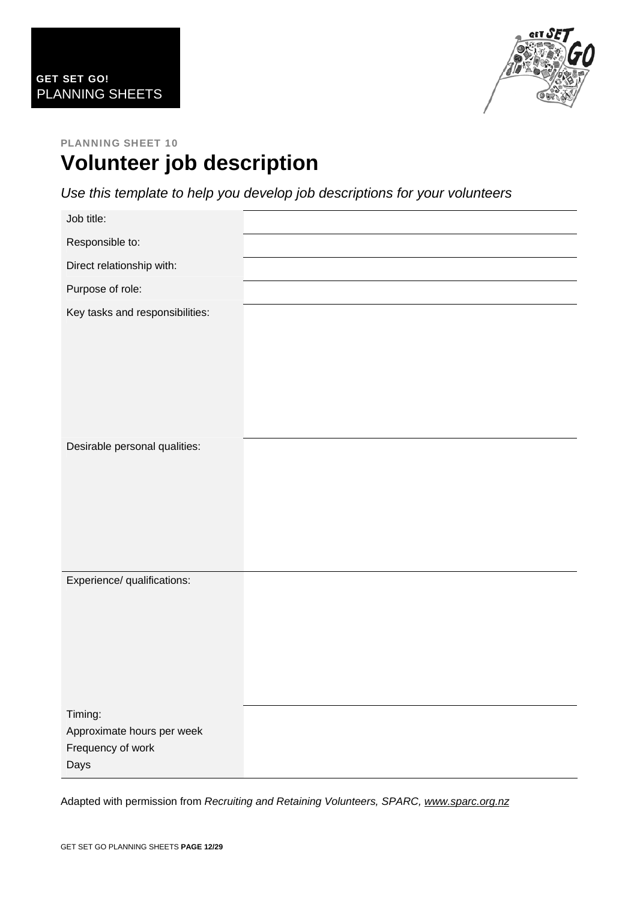

### PLANNING SHEET 10 **Volunteer job description**

*Use this template to help you develop job descriptions for your volunteers* 

| Job title:                                      |  |
|-------------------------------------------------|--|
| Responsible to:                                 |  |
| Direct relationship with:                       |  |
| Purpose of role:                                |  |
| Key tasks and responsibilities:                 |  |
|                                                 |  |
|                                                 |  |
|                                                 |  |
|                                                 |  |
|                                                 |  |
| Desirable personal qualities:                   |  |
|                                                 |  |
|                                                 |  |
|                                                 |  |
|                                                 |  |
| Experience/ qualifications:                     |  |
|                                                 |  |
|                                                 |  |
|                                                 |  |
|                                                 |  |
|                                                 |  |
| Timing:                                         |  |
| Approximate hours per week<br>Frequency of work |  |
| Days                                            |  |

Adapted with permission from *Recruiting and Retaining Volunteers, SPARC, [www.sparc.org.nz](http://www.sparc.org.nz/)*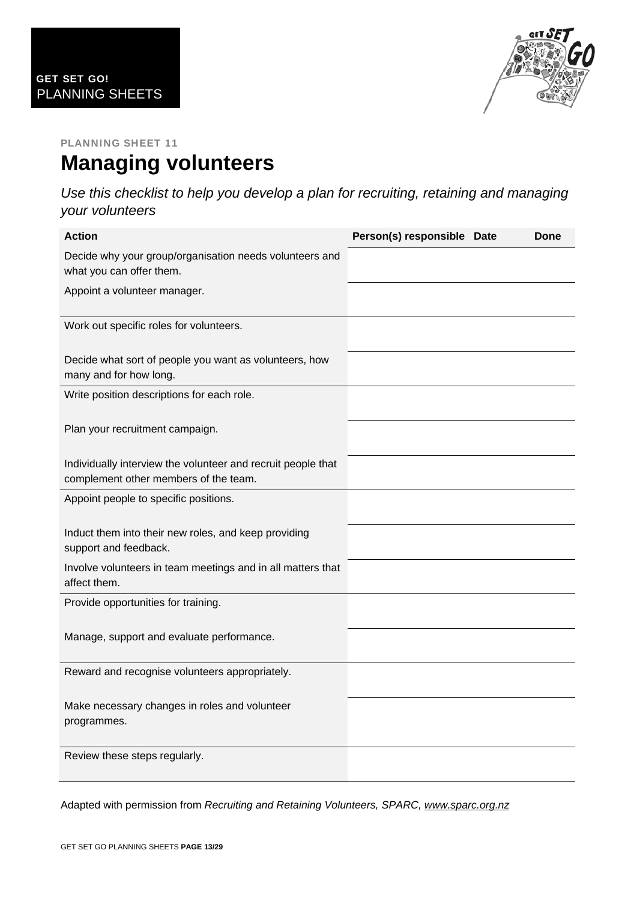

### PLANNING SHEET 11 **Managing volunteers**

*Use this checklist to help you develop a plan for recruiting, retaining and managing your volunteers* 

| <b>Action</b>                                                                                         | Person(s) responsible Date | Done |
|-------------------------------------------------------------------------------------------------------|----------------------------|------|
| Decide why your group/organisation needs volunteers and<br>what you can offer them.                   |                            |      |
| Appoint a volunteer manager.                                                                          |                            |      |
| Work out specific roles for volunteers.                                                               |                            |      |
| Decide what sort of people you want as volunteers, how<br>many and for how long.                      |                            |      |
| Write position descriptions for each role.                                                            |                            |      |
| Plan your recruitment campaign.                                                                       |                            |      |
| Individually interview the volunteer and recruit people that<br>complement other members of the team. |                            |      |
| Appoint people to specific positions.                                                                 |                            |      |
| Induct them into their new roles, and keep providing<br>support and feedback.                         |                            |      |
| Involve volunteers in team meetings and in all matters that<br>affect them.                           |                            |      |
| Provide opportunities for training.                                                                   |                            |      |
| Manage, support and evaluate performance.                                                             |                            |      |
| Reward and recognise volunteers appropriately.                                                        |                            |      |
| Make necessary changes in roles and volunteer<br>programmes.                                          |                            |      |
| Review these steps regularly.                                                                         |                            |      |

Adapted with permission from *Recruiting and Retaining Volunteers, SPARC, [www.sparc.org.nz](http://www.sparc.org.nz/)*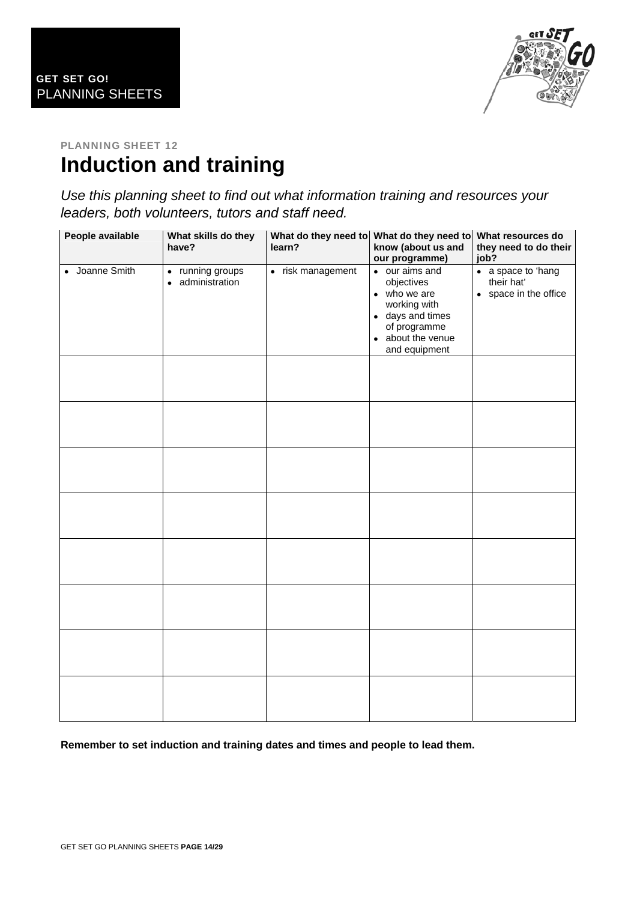

### PLANNING SHEET 12 **Induction and training**

*Use this planning sheet to find out what information training and resources your leaders, both volunteers, tutors and staff need.* 

| People available | What skills do they<br>have?         | learn?            | What do they need to What do they need to<br>know (about us and<br>our programme)                                                      | What resources do<br>they need to do their<br>job?                 |
|------------------|--------------------------------------|-------------------|----------------------------------------------------------------------------------------------------------------------------------------|--------------------------------------------------------------------|
| • Joanne Smith   | • running groups<br>• administration | • risk management | • our aims and<br>objectives<br>• who we are<br>working with<br>• days and times<br>of programme<br>• about the venue<br>and equipment | $\bullet$ a space to 'hang'<br>their hat'<br>• space in the office |
|                  |                                      |                   |                                                                                                                                        |                                                                    |
|                  |                                      |                   |                                                                                                                                        |                                                                    |
|                  |                                      |                   |                                                                                                                                        |                                                                    |
|                  |                                      |                   |                                                                                                                                        |                                                                    |
|                  |                                      |                   |                                                                                                                                        |                                                                    |
|                  |                                      |                   |                                                                                                                                        |                                                                    |
|                  |                                      |                   |                                                                                                                                        |                                                                    |
|                  |                                      |                   |                                                                                                                                        |                                                                    |

**Remember to set induction and training dates and times and people to lead them.**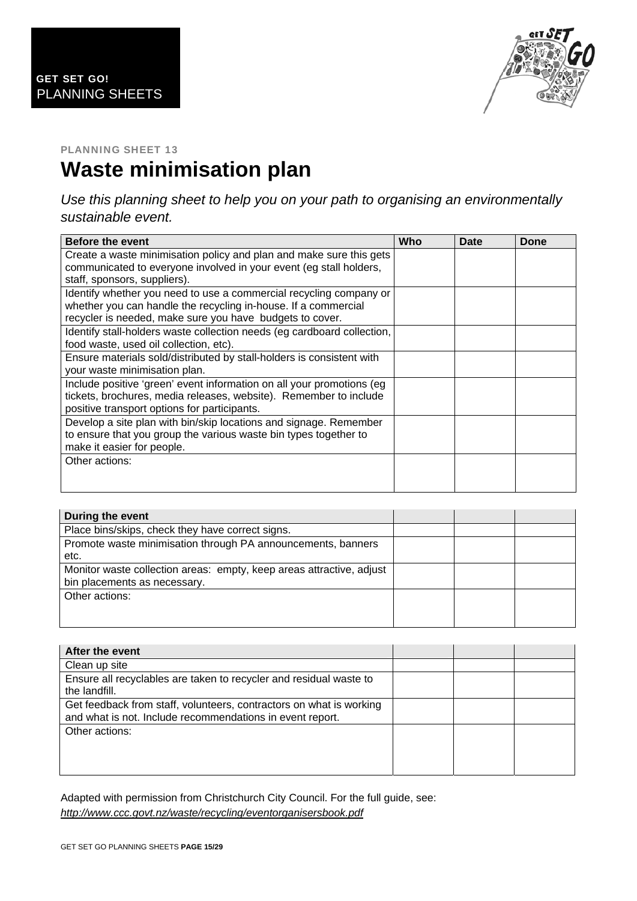

# **Waste minimisation plan**

*Use this planning sheet to help you on your path to organising an environmentally sustainable event.* 

| <b>Before the event</b>                                                                                                                                                                          | Who | Date | Done |
|--------------------------------------------------------------------------------------------------------------------------------------------------------------------------------------------------|-----|------|------|
| Create a waste minimisation policy and plan and make sure this gets<br>communicated to everyone involved in your event (eg stall holders,<br>staff, sponsors, suppliers).                        |     |      |      |
| Identify whether you need to use a commercial recycling company or<br>whether you can handle the recycling in-house. If a commercial<br>recycler is needed, make sure you have budgets to cover. |     |      |      |
| Identify stall-holders waste collection needs (eg cardboard collection,<br>food waste, used oil collection, etc).                                                                                |     |      |      |
| Ensure materials sold/distributed by stall-holders is consistent with<br>your waste minimisation plan.                                                                                           |     |      |      |
| Include positive 'green' event information on all your promotions (eg<br>tickets, brochures, media releases, website). Remember to include<br>positive transport options for participants.       |     |      |      |
| Develop a site plan with bin/skip locations and signage. Remember<br>to ensure that you group the various waste bin types together to<br>make it easier for people.                              |     |      |      |
| Other actions:                                                                                                                                                                                   |     |      |      |

| During the event                                                                                     |  |  |
|------------------------------------------------------------------------------------------------------|--|--|
| Place bins/skips, check they have correct signs.                                                     |  |  |
| Promote waste minimisation through PA announcements, banners<br>etc.                                 |  |  |
| Monitor waste collection areas: empty, keep areas attractive, adjust<br>bin placements as necessary. |  |  |
| Other actions:                                                                                       |  |  |
|                                                                                                      |  |  |

| After the event                                                                                                                  |  |  |
|----------------------------------------------------------------------------------------------------------------------------------|--|--|
| Clean up site                                                                                                                    |  |  |
| Ensure all recyclables are taken to recycler and residual waste to<br>the landfill.                                              |  |  |
| Get feedback from staff, volunteers, contractors on what is working<br>and what is not. Include recommendations in event report. |  |  |
| Other actions:                                                                                                                   |  |  |
|                                                                                                                                  |  |  |
|                                                                                                                                  |  |  |

Adapted with permission from Christchurch City Council. For the full guide, see: *<http://www.ccc.govt.nz/waste/recycling/eventorganisersbook.pdf>*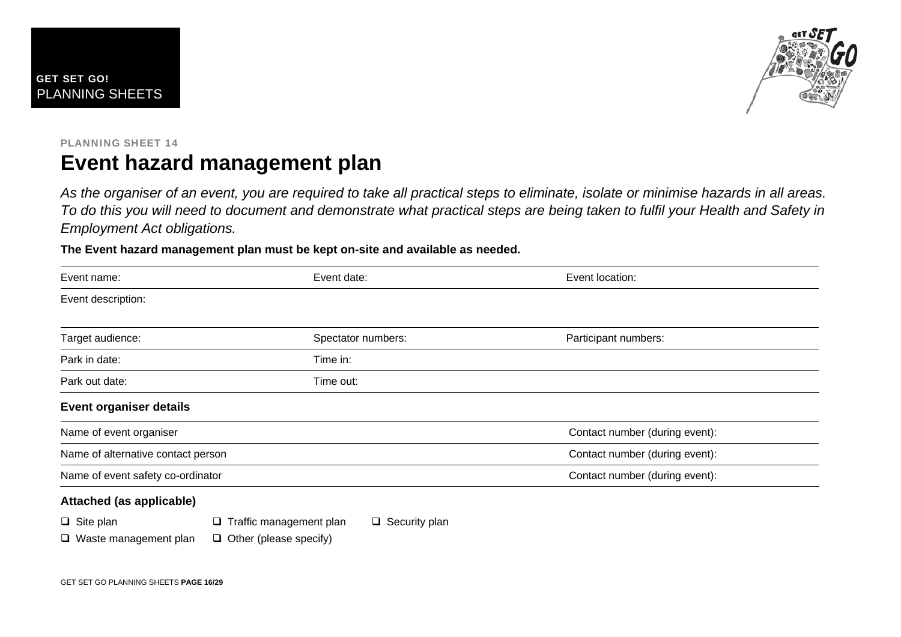

### PLANNING SHEET 14 **Event hazard management plan**

*As the organiser of an event, you are required to take all practical steps to eliminate, isolate or minimise hazards in all areas. To do this you will need to document and demonstrate what practical steps are being taken to fulfil your Health and Safety in Employment Act obligations.* 

**The Event hazard management plan must be kept on-site and available as needed.** 

| Event name:                        | Event date:        | Event location:                |
|------------------------------------|--------------------|--------------------------------|
| Event description:                 |                    |                                |
| Target audience:                   | Spectator numbers: | Participant numbers:           |
| Park in date:                      | Time in:           |                                |
| Park out date:                     | Time out:          |                                |
| <b>Event organiser details</b>     |                    |                                |
| Name of event organiser            |                    | Contact number (during event): |
| Name of alternative contact person |                    | Contact number (during event): |
| Name of event safety co-ordinator  |                    | Contact number (during event): |
| Attached (as applicable)           |                    |                                |

|  | $\Box$ Site plan |  | $\Box$ Traffic management plan |  | $\Box$ Security plan |
|--|------------------|--|--------------------------------|--|----------------------|
|--|------------------|--|--------------------------------|--|----------------------|

 $\Box$  Waste management plan  $\Box$  Other (please specify)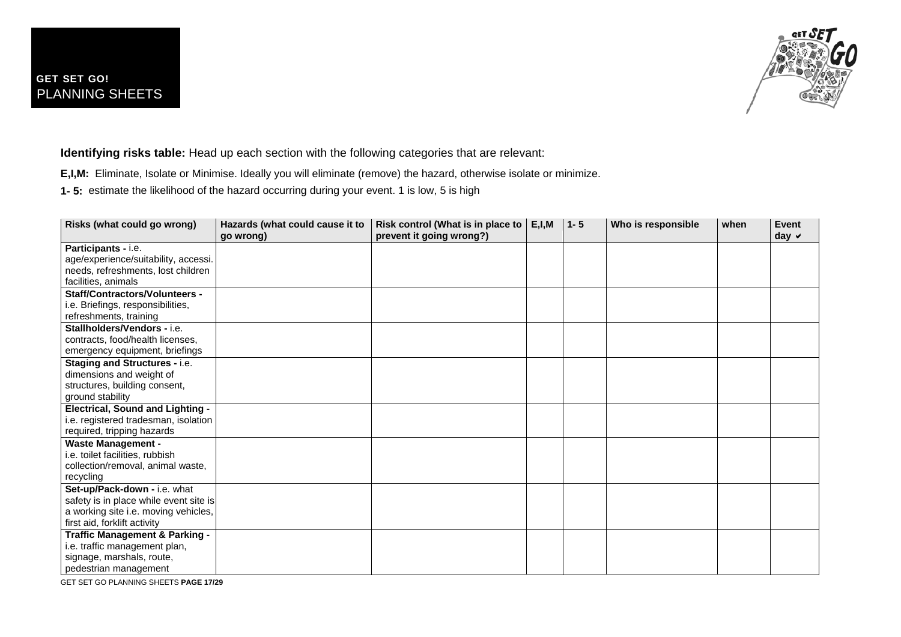

**Identifying risks table:** Head up each section with the following categories that are relevant:

**E,I,M:** Eliminate, Isolate or Minimise. Ideally you will eliminate (remove) the hazard, otherwise isolate or minimize.

**1- 5:** estimate the likelihood of the hazard occurring during your event. 1 is low, 5 is high

| Risks (what could go wrong)               | Hazards (what could cause it to<br>go wrong) | Risk control (What is in place to<br>prevent it going wrong?) | E, I, M | $1 - 5$ | Who is responsible | when | Event<br>day $\vee$ |
|-------------------------------------------|----------------------------------------------|---------------------------------------------------------------|---------|---------|--------------------|------|---------------------|
| Participants - i.e.                       |                                              |                                                               |         |         |                    |      |                     |
| age/experience/suitability, accessi.      |                                              |                                                               |         |         |                    |      |                     |
| needs, refreshments, lost children        |                                              |                                                               |         |         |                    |      |                     |
| facilities, animals                       |                                              |                                                               |         |         |                    |      |                     |
| <b>Staff/Contractors/Volunteers -</b>     |                                              |                                                               |         |         |                    |      |                     |
| i.e. Briefings, responsibilities,         |                                              |                                                               |         |         |                    |      |                     |
| refreshments, training                    |                                              |                                                               |         |         |                    |      |                     |
| Stallholders/Vendors - i.e.               |                                              |                                                               |         |         |                    |      |                     |
| contracts, food/health licenses,          |                                              |                                                               |         |         |                    |      |                     |
| emergency equipment, briefings            |                                              |                                                               |         |         |                    |      |                     |
| <b>Staging and Structures - i.e.</b>      |                                              |                                                               |         |         |                    |      |                     |
| dimensions and weight of                  |                                              |                                                               |         |         |                    |      |                     |
| structures, building consent,             |                                              |                                                               |         |         |                    |      |                     |
| ground stability                          |                                              |                                                               |         |         |                    |      |                     |
| <b>Electrical, Sound and Lighting -</b>   |                                              |                                                               |         |         |                    |      |                     |
| i.e. registered tradesman, isolation      |                                              |                                                               |         |         |                    |      |                     |
| required, tripping hazards                |                                              |                                                               |         |         |                    |      |                     |
| <b>Waste Management -</b>                 |                                              |                                                               |         |         |                    |      |                     |
| i.e. toilet facilities, rubbish           |                                              |                                                               |         |         |                    |      |                     |
| collection/removal, animal waste,         |                                              |                                                               |         |         |                    |      |                     |
| recycling                                 |                                              |                                                               |         |         |                    |      |                     |
| Set-up/Pack-down - i.e. what              |                                              |                                                               |         |         |                    |      |                     |
| safety is in place while event site is    |                                              |                                                               |         |         |                    |      |                     |
| a working site i.e. moving vehicles,      |                                              |                                                               |         |         |                    |      |                     |
| first aid, forklift activity              |                                              |                                                               |         |         |                    |      |                     |
| <b>Traffic Management &amp; Parking -</b> |                                              |                                                               |         |         |                    |      |                     |
| i.e. traffic management plan,             |                                              |                                                               |         |         |                    |      |                     |
| signage, marshals, route,                 |                                              |                                                               |         |         |                    |      |                     |
| pedestrian management                     |                                              |                                                               |         |         |                    |      |                     |

GET SET GO PLANNING SHEETS **PAGE 17/29**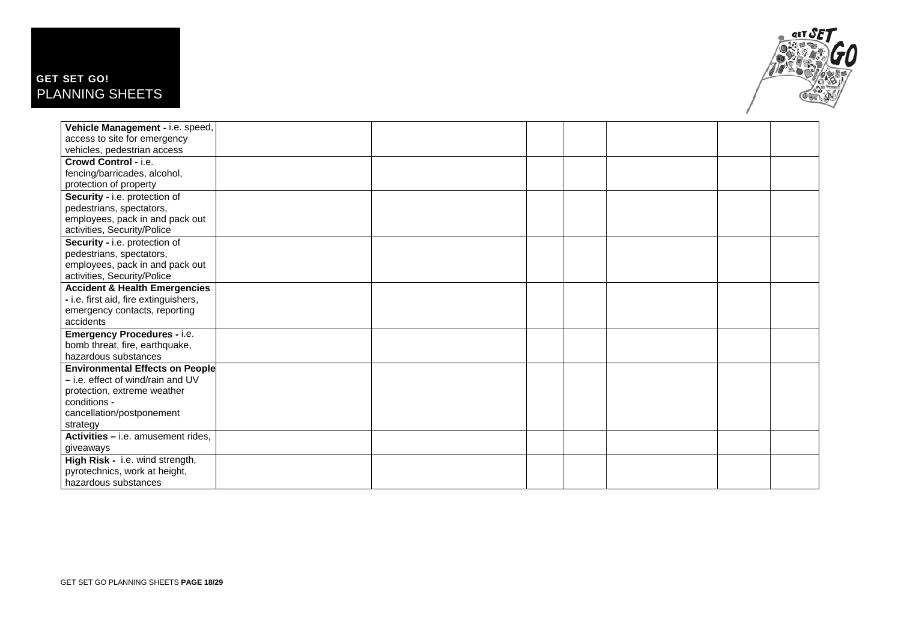### GET SET GO! PLANNING SHEETS



| Vehicle Management - i.e. speed,         |  |  |  |
|------------------------------------------|--|--|--|
| access to site for emergency             |  |  |  |
| vehicles, pedestrian access              |  |  |  |
| Crowd Control - i.e.                     |  |  |  |
| fencing/barricades, alcohol,             |  |  |  |
| protection of property                   |  |  |  |
| Security - i.e. protection of            |  |  |  |
| pedestrians, spectators,                 |  |  |  |
| employees, pack in and pack out          |  |  |  |
| activities, Security/Police              |  |  |  |
| Security - i.e. protection of            |  |  |  |
| pedestrians, spectators,                 |  |  |  |
| employees, pack in and pack out          |  |  |  |
| activities, Security/Police              |  |  |  |
| <b>Accident &amp; Health Emergencies</b> |  |  |  |
| - i.e. first aid, fire extinguishers,    |  |  |  |
| emergency contacts, reporting            |  |  |  |
| accidents                                |  |  |  |
| <b>Emergency Procedures - i.e.</b>       |  |  |  |
| bomb threat, fire, earthquake,           |  |  |  |
| hazardous substances                     |  |  |  |
| <b>Environmental Effects on People</b>   |  |  |  |
| - i.e. effect of wind/rain and UV        |  |  |  |
| protection, extreme weather              |  |  |  |
| conditions -                             |  |  |  |
| cancellation/postponement                |  |  |  |
| strategy                                 |  |  |  |
| Activities - i.e. amusement rides,       |  |  |  |
| giveaways                                |  |  |  |
| High Risk - i.e. wind strength,          |  |  |  |
| pyrotechnics, work at height,            |  |  |  |
| hazardous substances                     |  |  |  |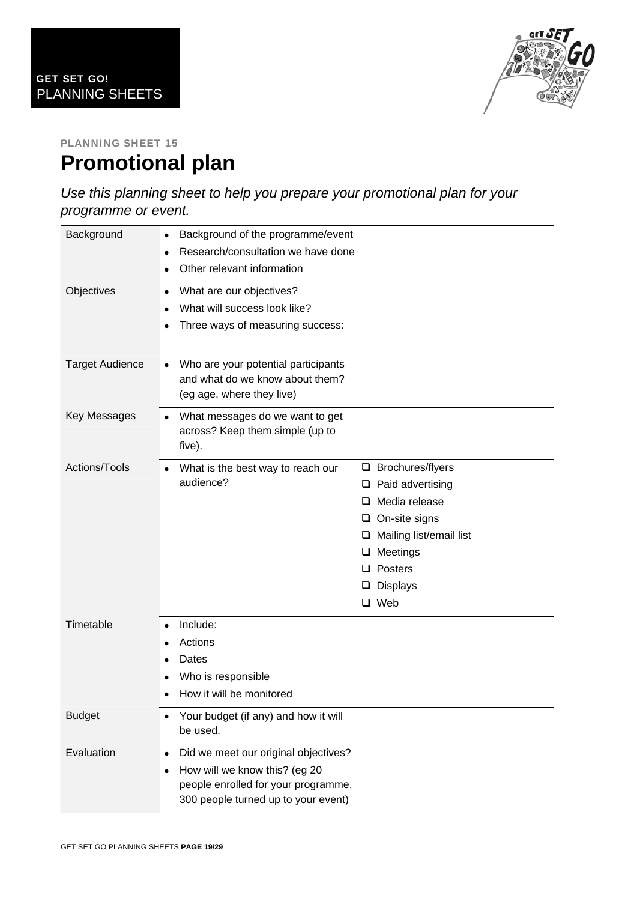

### PLANNING SHEET 15 **Promotional plan**

*Use this planning sheet to help you prepare your promotional plan for your programme or event.* 

| Background             | Background of the programme/event<br>Research/consultation we have done<br>$\bullet$<br>Other relevant information                                  |                                                                                                                                                                                                             |
|------------------------|-----------------------------------------------------------------------------------------------------------------------------------------------------|-------------------------------------------------------------------------------------------------------------------------------------------------------------------------------------------------------------|
| Objectives             | What are our objectives?<br>What will success look like?<br>Three ways of measuring success:                                                        |                                                                                                                                                                                                             |
| <b>Target Audience</b> | Who are your potential participants<br>and what do we know about them?<br>(eg age, where they live)                                                 |                                                                                                                                                                                                             |
| Key Messages           | What messages do we want to get<br>across? Keep them simple (up to<br>five).                                                                        |                                                                                                                                                                                                             |
| Actions/Tools          | What is the best way to reach our<br>audience?                                                                                                      | $\Box$ Brochures/flyers<br>Paid advertising<br>u.<br>Media release<br>ப<br>$\Box$ On-site signs<br>$\Box$ Mailing list/email list<br>Meetings<br>u.<br>$\Box$ Posters<br><b>Displays</b><br>⊔<br>$\Box$ Web |
| Timetable              | Include:<br>Actions<br>Dates<br>Who is responsible<br>How it will be monitored                                                                      |                                                                                                                                                                                                             |
| <b>Budget</b>          | Your budget (if any) and how it will<br>be used.                                                                                                    |                                                                                                                                                                                                             |
| Evaluation             | Did we meet our original objectives?<br>How will we know this? (eg 20<br>people enrolled for your programme,<br>300 people turned up to your event) |                                                                                                                                                                                                             |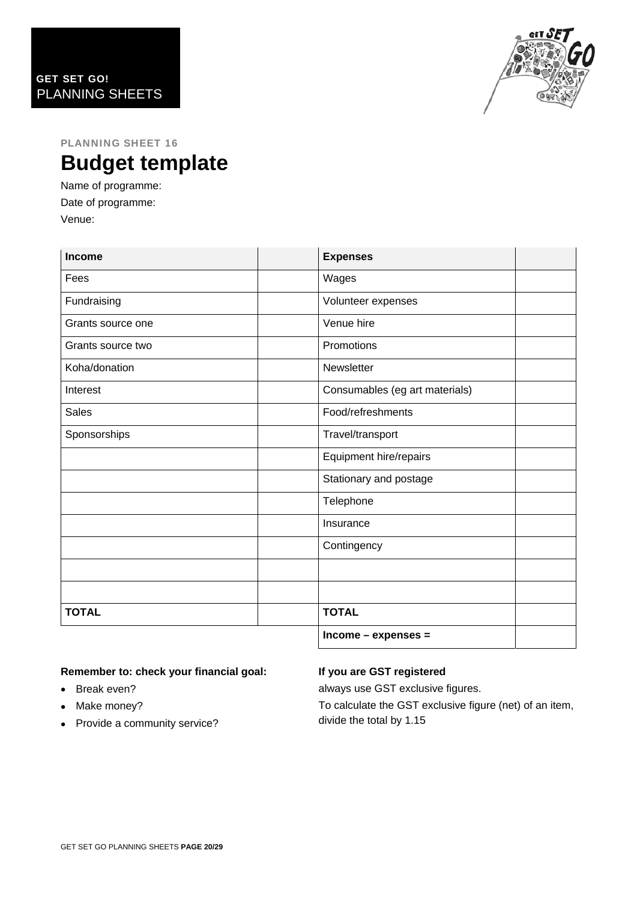

### PLANNING SHEET 16 **Budget template**

Name of programme: Date of programme: Venue:

| <b>Income</b>     | <b>Expenses</b>                |  |
|-------------------|--------------------------------|--|
| Fees              | Wages                          |  |
| Fundraising       | Volunteer expenses             |  |
| Grants source one | Venue hire                     |  |
| Grants source two | Promotions                     |  |
| Koha/donation     | Newsletter                     |  |
| Interest          | Consumables (eg art materials) |  |
| <b>Sales</b>      | Food/refreshments              |  |
| Sponsorships      | Travel/transport               |  |
|                   | Equipment hire/repairs         |  |
|                   | Stationary and postage         |  |
|                   | Telephone                      |  |
|                   | Insurance                      |  |
|                   | Contingency                    |  |
|                   |                                |  |
|                   |                                |  |
| <b>TOTAL</b>      | <b>TOTAL</b>                   |  |
|                   | Income - expenses =            |  |

### **Remember to: check your financial goal:**

- Break even?
- Make money?
- Provide a community service?

### **If you are GST registered**

always use GST exclusive figures.

To calculate the GST exclusive figure (net) of an item, divide the total by 1.15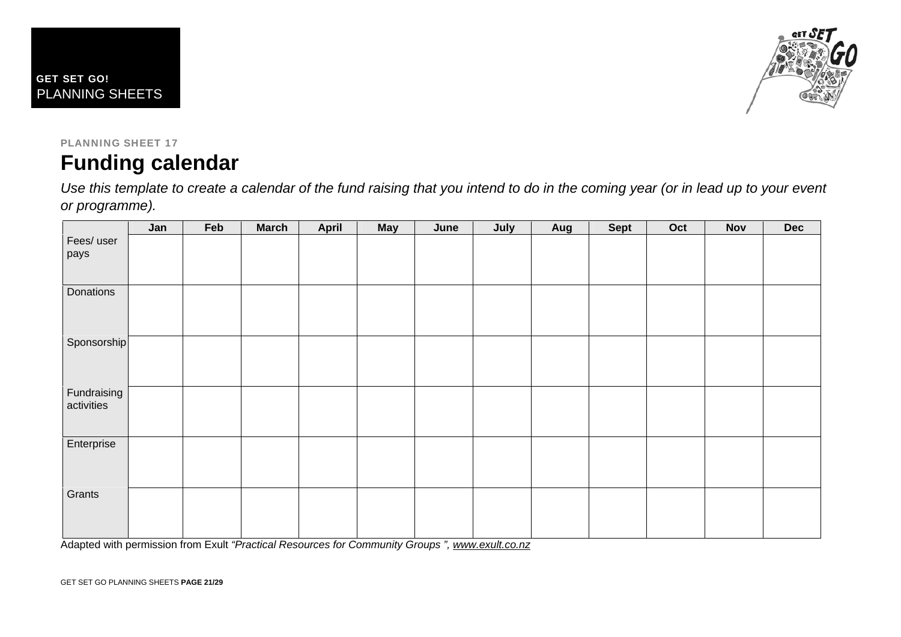



### PLANNING SHEET 17 **Funding calendar**

*Use this template to create a calendar of the fund raising that you intend to do in the coming year (or in lead up to your event or programme).* 

|                           | Jan | Feb | <b>March</b> | <b>April</b> | <b>May</b> | June | July | Aug | <b>Sept</b> | Oct | <b>Nov</b> | <b>Dec</b> |
|---------------------------|-----|-----|--------------|--------------|------------|------|------|-----|-------------|-----|------------|------------|
| Fees/ user<br>pays        |     |     |              |              |            |      |      |     |             |     |            |            |
|                           |     |     |              |              |            |      |      |     |             |     |            |            |
| Donations                 |     |     |              |              |            |      |      |     |             |     |            |            |
| Sponsorship               |     |     |              |              |            |      |      |     |             |     |            |            |
| Fundraising<br>activities |     |     |              |              |            |      |      |     |             |     |            |            |
| Enterprise                |     |     |              |              |            |      |      |     |             |     |            |            |
| Grants                    |     |     |              |              |            |      |      |     |             |     |            |            |

Adapted with permission from Exult *"Practical Resources for Community Groups ", [www.exult.co.nz](http://www.exult.co.nz/)*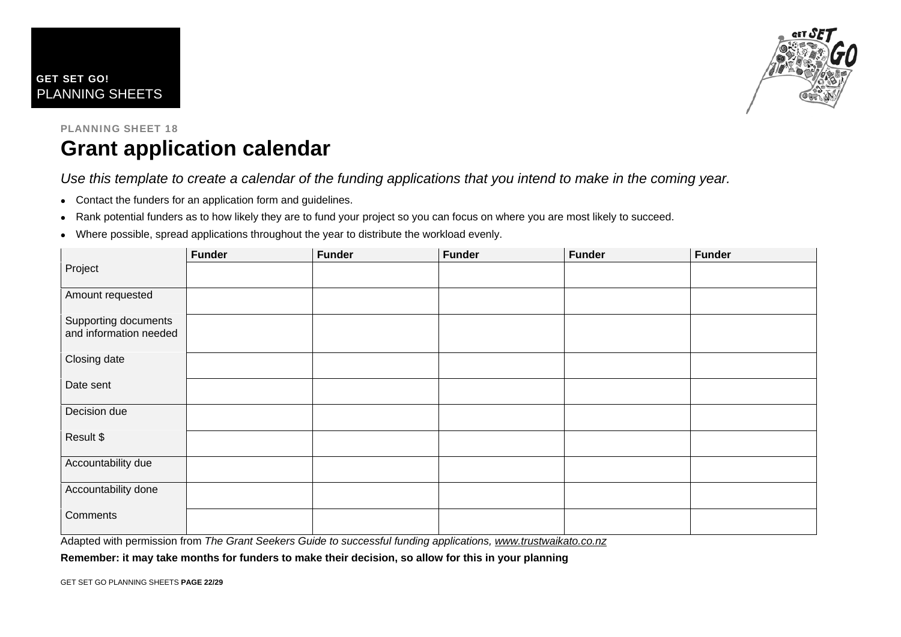



### PLANNING SHEET 18 **Grant application calendar**

*Use this template to create a calendar of the funding applications that you intend to make in the coming year.* 

- Contact the funders for an application form and guidelines.
- Rank potential funders as to how likely they are to fund your project so you can focus on where you are most likely to succeed.
- Where possible, spread applications throughout the year to distribute the workload evenly.

|                                                | <b>Funder</b> | <b>Funder</b> | <b>Funder</b> | <b>Funder</b> | <b>Funder</b> |
|------------------------------------------------|---------------|---------------|---------------|---------------|---------------|
| Project                                        |               |               |               |               |               |
| Amount requested                               |               |               |               |               |               |
| Supporting documents<br>and information needed |               |               |               |               |               |
| Closing date                                   |               |               |               |               |               |
| Date sent                                      |               |               |               |               |               |
| Decision due                                   |               |               |               |               |               |
| Result \$                                      |               |               |               |               |               |
| Accountability due                             |               |               |               |               |               |
| Accountability done                            |               |               |               |               |               |
| Comments                                       |               |               |               |               |               |

Adapted with permission from *The Grant Seekers Guide to successful funding applications, [www.trustwaikato.co.nz](http://www.trustwaikato.co.nz/)*

**Remember: it may take months for funders to make their decision, so allow for this in your planning**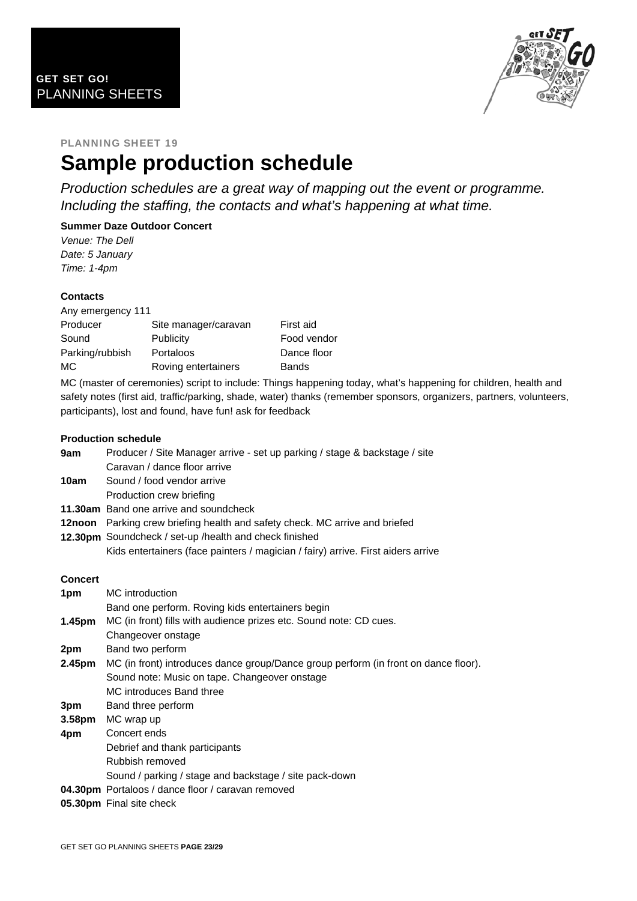

### PLANNING SHEET 19 **Sample production schedule**

*Production schedules are a great way of mapping out the event or programme. Including the staffing, the contacts and what's happening at what time.* 

### **Summer Daze Outdoor Concert**

*Venue: The Dell Date: 5 January Time: 1-4pm* 

### **Contacts**

| Any emergency 111 |                      |              |
|-------------------|----------------------|--------------|
| Producer          | Site manager/caravan | First aid    |
| Sound             | Publicity            | Food vendor  |
| Parking/rubbish   | Portaloos            | Dance floor  |
| МC                | Roving entertainers  | <b>Bands</b> |

MC (master of ceremonies) script to include: Things happening today, what's happening for children, health and safety notes (first aid, traffic/parking, shade, water) thanks (remember sponsors, organizers, partners, volunteers, participants), lost and found, have fun! ask for feedback

#### **Production schedule**

|         | LIAMANINII SAIILMUL                                                                 |
|---------|-------------------------------------------------------------------------------------|
| 9am     | Producer / Site Manager arrive - set up parking / stage & backstage / site          |
|         | Caravan / dance floor arrive                                                        |
| 10am    | Sound / food vendor arrive                                                          |
|         | Production crew briefing                                                            |
|         | <b>11.30am</b> Band one arrive and soundcheck                                       |
|         | 12noon Parking crew briefing health and safety check. MC arrive and briefed         |
|         | 12.30pm Soundcheck / set-up / health and check finished                             |
|         | Kids entertainers (face painters / magician / fairy) arrive. First aiders arrive    |
| Concert |                                                                                     |
| 1pm     | MC introduction                                                                     |
|         | Band one perform. Roving kids entertainers begin                                    |
| 1.45pm  | MC (in front) fills with audience prizes etc. Sound note: CD cues.                  |
|         | Changeover onstage                                                                  |
| 2pm     | Band two perform                                                                    |
| 2.45pm  | MC (in front) introduces dance group/Dance group perform (in front on dance floor). |
|         | Sound note: Music on tape. Changeover onstage                                       |
|         | MC introduces Band three                                                            |
| 3pm     | Band three perform                                                                  |
| 3.58pm  | MC wrap up                                                                          |
| 4pm     | Concert ends                                                                        |
|         | Debrief and thank participants                                                      |
|         | Rubbish removed                                                                     |
|         | Sound / parking / stage and backstage / site pack-down                              |
|         | 04.30pm Portaloos / dance floor / caravan removed                                   |
|         | 05.30pm Final site check                                                            |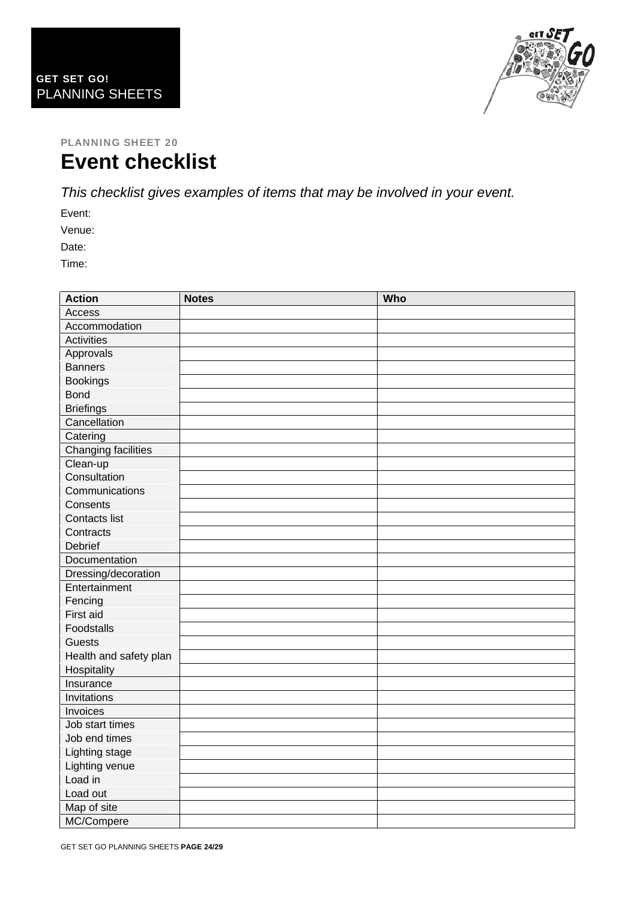

### PLANNING SHEET 20 **Event checklist**

*This checklist gives examples of items that may be involved in your event.*

Event:

Venue:

Date:

Time:

| <b>Action</b>          | <b>Notes</b> | Who |
|------------------------|--------------|-----|
| Access                 |              |     |
| Accommodation          |              |     |
| <b>Activities</b>      |              |     |
| Approvals              |              |     |
| <b>Banners</b>         |              |     |
| <b>Bookings</b>        |              |     |
| <b>Bond</b>            |              |     |
| <b>Briefings</b>       |              |     |
| Cancellation           |              |     |
| Catering               |              |     |
| Changing facilities    |              |     |
| Clean-up               |              |     |
| Consultation           |              |     |
| Communications         |              |     |
| Consents               |              |     |
| Contacts list          |              |     |
| Contracts              |              |     |
| Debrief                |              |     |
| Documentation          |              |     |
| Dressing/decoration    |              |     |
| Entertainment          |              |     |
| Fencing                |              |     |
| First aid              |              |     |
| Foodstalls             |              |     |
| <b>Guests</b>          |              |     |
| Health and safety plan |              |     |
| Hospitality            |              |     |
| Insurance              |              |     |
| Invitations            |              |     |
| Invoices               |              |     |
| Job start times        |              |     |
| Job end times          |              |     |
| Lighting stage         |              |     |
| Lighting venue         |              |     |
| Load in                |              |     |
| Load out               |              |     |
| Map of site            |              |     |
| MC/Compere             |              |     |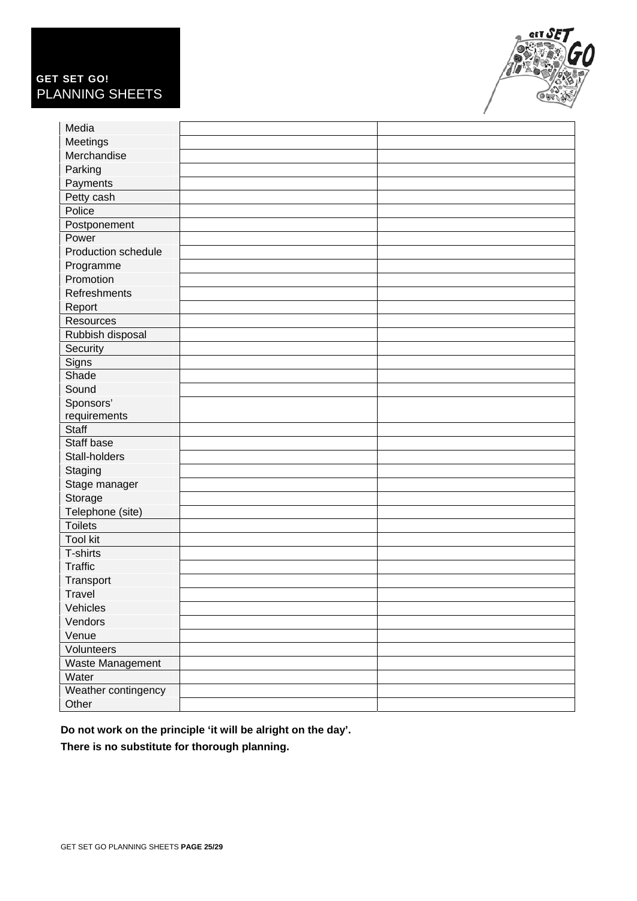### GET SET GO! PLANNING SHEETS



| Media               |  |
|---------------------|--|
| Meetings            |  |
| Merchandise         |  |
| Parking             |  |
| Payments            |  |
| Petty cash          |  |
| Police              |  |
| Postponement        |  |
| Power               |  |
| Production schedule |  |
| Programme           |  |
| Promotion           |  |
| Refreshments        |  |
| Report              |  |
| Resources           |  |
| Rubbish disposal    |  |
| Security            |  |
| Signs               |  |
| Shade               |  |
| Sound               |  |
| Sponsors'           |  |
| requirements        |  |
| Staff               |  |
| Staff base          |  |
| Stall-holders       |  |
| Staging             |  |
| Stage manager       |  |
| Storage             |  |
| Telephone (site)    |  |
| <b>Toilets</b>      |  |
| <b>Tool kit</b>     |  |
| T-shirts            |  |
| <b>Traffic</b>      |  |
| Transport           |  |
| <b>Travel</b>       |  |
| Vehicles            |  |
| Vendors             |  |
| Venue               |  |
| Volunteers          |  |
| Waste Management    |  |
| Water               |  |
| Weather contingency |  |
| Other               |  |

**Do not work on the principle 'it will be alright on the day'.** 

**There is no substitute for thorough planning.**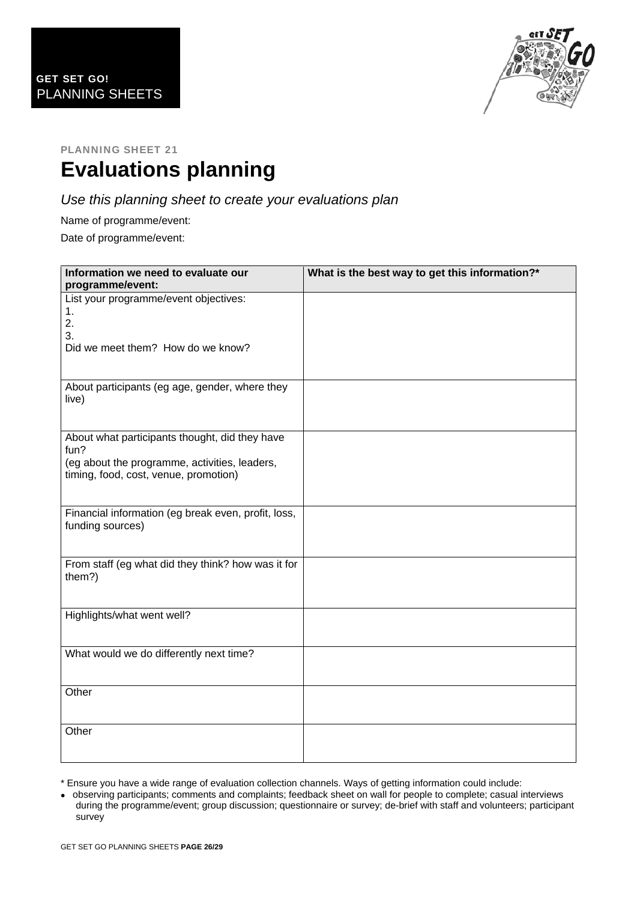

# **Evaluations planning**

### *Use this planning sheet to create your evaluations plan*

Name of programme/event:

Date of programme/event:

| Information we need to evaluate our<br>programme/event:                                                                                          | What is the best way to get this information?* |
|--------------------------------------------------------------------------------------------------------------------------------------------------|------------------------------------------------|
| List your programme/event objectives:<br>1.<br>2.<br>3.<br>Did we meet them? How do we know?                                                     |                                                |
| About participants (eg age, gender, where they<br>live)                                                                                          |                                                |
| About what participants thought, did they have<br>fun?<br>(eg about the programme, activities, leaders,<br>timing, food, cost, venue, promotion) |                                                |
| Financial information (eg break even, profit, loss,<br>funding sources)                                                                          |                                                |
| From staff (eg what did they think? how was it for<br>them?)                                                                                     |                                                |
| Highlights/what went well?                                                                                                                       |                                                |
| What would we do differently next time?                                                                                                          |                                                |
| Other                                                                                                                                            |                                                |
| Other                                                                                                                                            |                                                |

\* Ensure you have a wide range of evaluation collection channels. Ways of getting information could include:

 observing participants; comments and complaints; feedback sheet on wall for people to complete; casual interviews during the programme/event; group discussion; questionnaire or survey; de-brief with staff and volunteers; participant survey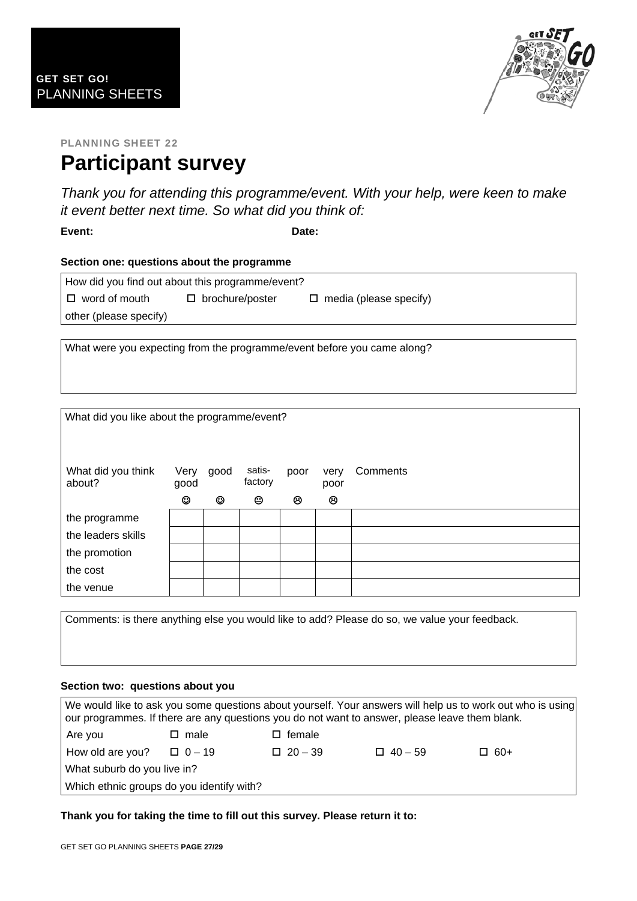

### PLANNING SHEET 22 **Participant survey**

*Thank you for attending this programme/event. With your help, were keen to make it event better next time. So what did you think of:* 

**Event: Date:** 

#### **Section one: questions about the programme**

| How did you find out about this programme/event? |                        |                               |  |  |  |  |  |  |
|--------------------------------------------------|------------------------|-------------------------------|--|--|--|--|--|--|
| $\Box$ word of mouth                             | $\Box$ brochure/poster | $\Box$ media (please specify) |  |  |  |  |  |  |
| other (please specify)                           |                        |                               |  |  |  |  |  |  |

What were you expecting from the programme/event before you came along?

| What did you like about the programme/event? |              |      |                   |      |              |          |  |  |
|----------------------------------------------|--------------|------|-------------------|------|--------------|----------|--|--|
| What did you think<br>about?                 | Very<br>good | good | satis-<br>factory | poor | very<br>poor | Comments |  |  |
|                                              | ☺            | ☺    | ☺                 | ම    | ම            |          |  |  |
| the programme                                |              |      |                   |      |              |          |  |  |
| the leaders skills                           |              |      |                   |      |              |          |  |  |
| the promotion                                |              |      |                   |      |              |          |  |  |
| the cost                                     |              |      |                   |      |              |          |  |  |
| the venue                                    |              |      |                   |      |              |          |  |  |

Comments: is there anything else you would like to add? Please do so, we value your feedback.

#### **Section two: questions about you**

| We would like to ask you some questions about yourself. Your answers will help us to work out who is using<br>our programmes. If there are any questions you do not want to answer, please leave them blank. |                                    |  |                |                |            |  |  |  |
|--------------------------------------------------------------------------------------------------------------------------------------------------------------------------------------------------------------|------------------------------------|--|----------------|----------------|------------|--|--|--|
| Are you                                                                                                                                                                                                      | $\square$ female<br>$\square$ male |  |                |                |            |  |  |  |
| How old are you?                                                                                                                                                                                             | $\Box$ 0 – 19                      |  | $\Box$ 20 - 39 | $\Box$ 40 – 59 | $\Box$ 60+ |  |  |  |
| What suburb do you live in?                                                                                                                                                                                  |                                    |  |                |                |            |  |  |  |
| Which ethnic groups do you identify with?                                                                                                                                                                    |                                    |  |                |                |            |  |  |  |

**Thank you for taking the time to fill out this survey. Please return it to:**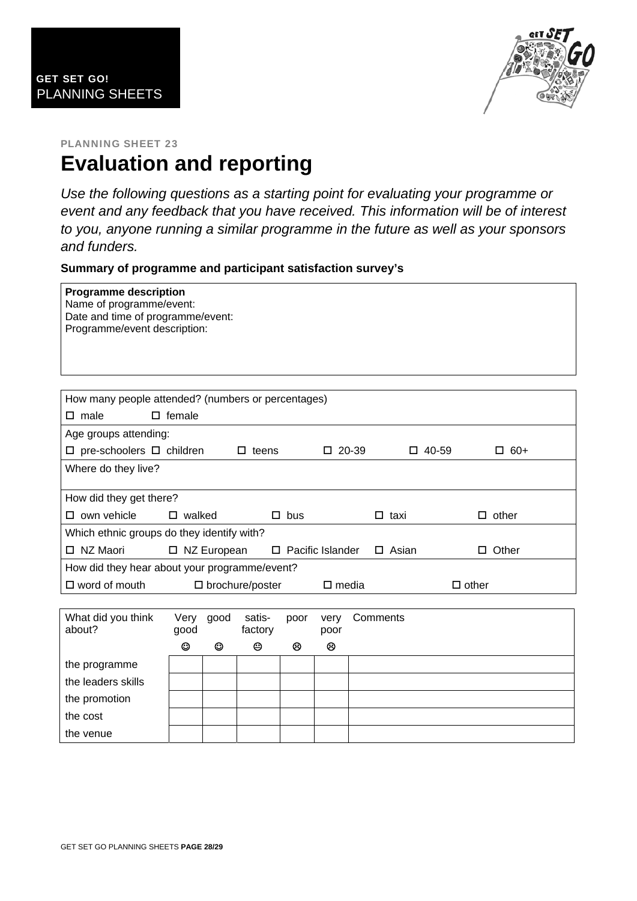

### PLANNING SHEET 23 **Evaluation and reporting**

*Use the following questions as a starting point for evaluating your programme or event and any feedback that you have received. This information will be of interest to you, anyone running a similar programme in the future as well as your sponsors and funders.* 

**Summary of programme and participant satisfaction survey's** 

| <b>Programme description</b><br>Name of programme/event:<br>Date and time of programme/event:<br>Programme/event description: |                                                              |           |                   |                            |              |          |              |              |
|-------------------------------------------------------------------------------------------------------------------------------|--------------------------------------------------------------|-----------|-------------------|----------------------------|--------------|----------|--------------|--------------|
|                                                                                                                               |                                                              |           |                   |                            |              |          |              |              |
| How many people attended? (numbers or percentages)                                                                            |                                                              |           |                   |                            |              |          |              |              |
| $\square$ male                                                                                                                | $\square$ female                                             |           |                   |                            |              |          |              |              |
| Age groups attending:                                                                                                         |                                                              |           |                   |                            |              |          |              |              |
| $\square$ pre-schoolers $\square$ children                                                                                    |                                                              |           | $\Box$ teens      |                            | $\Box$ 20-39 |          | $\Box$ 40-59 | $\Box$ 60+   |
| Where do they live?                                                                                                           |                                                              |           |                   |                            |              |          |              |              |
| How did they get there?                                                                                                       |                                                              |           |                   |                            |              |          |              |              |
| $\square$ own vehicle                                                                                                         | $\square$ walked                                             |           |                   | $\square$ bus              |              |          | $\Box$ taxi  | $\Box$ other |
| Which ethnic groups do they identify with?                                                                                    |                                                              |           |                   |                            |              |          |              |              |
| □ NZ Maori                                                                                                                    | □ NZ European                                                |           |                   | $\square$ Pacific Islander |              |          | $\Box$ Asian | $\Box$ Other |
| How did they hear about your programme/event?                                                                                 |                                                              |           |                   |                            |              |          |              |              |
| $\square$ word of mouth                                                                                                       | $\square$ brochure/poster<br>$\square$ media<br>$\Box$ other |           |                   |                            |              |          |              |              |
|                                                                                                                               |                                                              |           |                   |                            |              |          |              |              |
| What did you think<br>about?                                                                                                  | good                                                         | Very good | satis-<br>factory | poor                       | very<br>poor | Comments |              |              |
|                                                                                                                               | $\odot$                                                      | ☺         | ☺                 | ම                          | ම            |          |              |              |
| the programme                                                                                                                 |                                                              |           |                   |                            |              |          |              |              |
| the leaders skills                                                                                                            |                                                              |           |                   |                            |              |          |              |              |
| the promotion                                                                                                                 |                                                              |           |                   |                            |              |          |              |              |
| the cost                                                                                                                      |                                                              |           |                   |                            |              |          |              |              |
| the venue                                                                                                                     |                                                              |           |                   |                            |              |          |              |              |